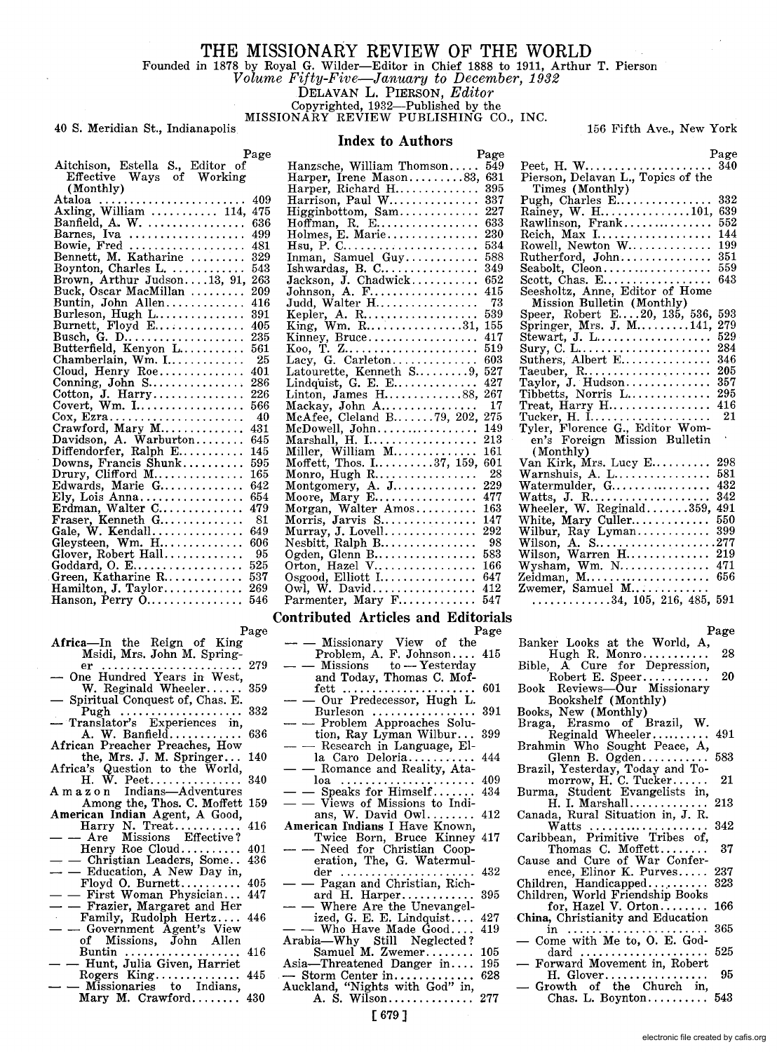# **THE MISSIONARY REVIEW OF THE WORLD**  Founded in 1878 by Royal G. Wilder-Editor in Chief 1888 to 1911, Arthur T. Pierson

*Volume Fi/ty-Five-January to December, 1932* 

DELAVAN L. PIERSON, *Editor* 

Copyrighted, 1932-Published by the

MISSIONARY REVIEW PUBLISHING CO., INC.

## 40 S. Meridian St., Indianapolis 156 Fifth Ave., New York

## **Index to Authors**

 $P<sub>age</sub>  
340$ 

|                                                                | Page |                                                                     | Page |
|----------------------------------------------------------------|------|---------------------------------------------------------------------|------|
| Aitchison, Estella S., Editor of                               |      | Hanzsche, William Thomson 549                                       |      |
| Effective Ways of Working                                      |      | Harper, Irene Mason83, $631$                                        |      |
| (Monthly)                                                      |      | Harper, Richard H 395                                               |      |
| Ataloa  409                                                    |      | Harrison, Paul W $337$                                              |      |
| Axling, William  114, 475                                      |      | Higginbottom, Sam 227                                               |      |
| Banfield, A. W. $636$                                          |      |                                                                     |      |
| Barnes, Iva  499                                               |      | Holmes, E. Marie 230                                                |      |
| Bowie, Fred $481$                                              |      |                                                                     |      |
| Bennett, M. Katharine  329                                     |      | Inman, Samuel Guy 588                                               |      |
| Boynton, Charles L. $543$                                      |      |                                                                     |      |
| Brown, Arthur Judson13, 91, 263                                |      | Jackson, J. Chadwick $652$                                          |      |
| Buck, Oscar MacMillan  209                                     |      |                                                                     |      |
| Buntin, John Allen 416                                         |      | Judd, Walter H 73                                                   |      |
| Burleson, Hugh L 391                                           |      | Kepler, A. R 539                                                    |      |
| Burnett, Floyd E $405$                                         |      | King, Wm. R31, 155                                                  |      |
|                                                                |      |                                                                     |      |
| Butterfield, Kenyon $L$ 561                                    |      |                                                                     |      |
| Chamberlain, Wm. I                                             | 25   |                                                                     |      |
| Cloud, Henry Roe                                               | 401  | Latourette, Kenneth S $9, 527$                                      |      |
| Conning, John S 286                                            |      | Lindquist, G. E. E $427$                                            |      |
|                                                                |      | Linton, James H88, 267                                              |      |
| Covert, Wm. $1, \ldots, \ldots, \ldots, 566$                   |      | $\text{Mackay}, \text{ John } \text{A} \ldots \ldots \ldots \ldots$ | 17   |
| $\cos$ , Ezra                                                  | 40   | McAfee, Cleland B79, 202, 275                                       |      |
| Crawford, Mary M                                               | 431  | McDowell, John 149                                                  |      |
| Davidson, A. Warburton                                         | 645  |                                                                     |      |
| Diffendorfer, Ralph E                                          | 145  |                                                                     |      |
| Downs, Francis Shunk                                           | 595  | Moffett, Thos. $1.1111167$ , 159, 601                               |      |
| Drury, Clifford $M$                                            | 165  |                                                                     |      |
| Edwards, Marie $G$                                             | 642  | Montgomery, A. J $229$                                              |      |
| Ely, Lois Anna                                                 | 654  | Moore, Mary E 477                                                   |      |
| Erdman, Walter C                                               | 479  | Morgan, Walter Amos $163$                                           |      |
| Fraser, Kenneth G                                              | 81   | Morris, Jarvis S $147$                                              |      |
| Gale, $W.$ Kendall                                             | 649  | Murray, J. Lovell 292                                               |      |
| Gleysteen, Wm. $H$                                             | 606  |                                                                     |      |
| Glover, Robert Hall                                            | 95   | Ogden, Glenn B 583                                                  |      |
| $\rm{Goddard,~O.~E. ~525}$                                     |      | Orton, Hazel V $166$                                                |      |
| $G$ reen, Katharine R $\ldots \ldots \ldots \quad 537$         |      | Osgood, Elliott $1, \ldots, \ldots, \ldots, 647$                    |      |
| $\text{Hamilton, J. Taylor} \dots \dots \dots \dots \quad 269$ |      |                                                                     |      |
| Hanson, Perry O 546                                            |      | Parmenter, Mary F 547                                               |      |

# Page Page Africa-In the Reign of King - - Missionary View of the

- 
- 
- 
- 
- African Preacher Preaches, How<br>the, Mrs. J. M. Springer... 140
- 
- 
- 
- 
- 
- 
- 
- 
- of Missions, John Allen Arabia-Why Still Neglected?<br>Buntin ..................... 416 Samuel M. Zwemer......... 105<br>-- Hunt, Julia Given, Harriet Asia-Threatened Danger in.... 195
- 
- Mary M. Crawford........ 430 A. S. Wilson............... 277

| Aitchison, Estella S., Editor of                                                                                    | Hanzsche, William Thomson 549                         |    |
|---------------------------------------------------------------------------------------------------------------------|-------------------------------------------------------|----|
| Effective Ways of Working                                                                                           | Harper, Irene Mason83, $631$                          |    |
| (Monthly)                                                                                                           | Harper, Richard H $395$                               |    |
| 409                                                                                                                 | Harrison, Paul W $337$                                |    |
| Axling, William  114, 475                                                                                           |                                                       |    |
| Banfield, A. W.  636                                                                                                | Hoffman, R. E $633$                                   |    |
| Barnes, Iva  499                                                                                                    | Holmes, E. Marie 230                                  |    |
| Bowie, Fred  481                                                                                                    |                                                       |    |
| Bennett, M. Katharine  329                                                                                          | Inman, Samuel Guy 588                                 |    |
| $Boynton, Charles L. \ldots \ldots \ldots 543$                                                                      |                                                       |    |
| Brown, Arthur Judson13, 91, 263                                                                                     | Jackson, J. Chadwick $652$                            |    |
| Buck, Oscar MacMillan  209                                                                                          | Johnson, A. F 415                                     |    |
| $\text{Buntin}, \; \text{John} \;\; \text{Allen} \dots \dots \dots \dots \; \; 416$                                 |                                                       |    |
| Burleson, Hugh L 391                                                                                                | Kepler, A. R 539                                      |    |
| Burnett, Floyd E $405$                                                                                              | King, Wm, R31, 155                                    |    |
| Busch, G. D 235                                                                                                     |                                                       |    |
| ${\rm Butterfield,~Kenyon~L.}\ldots\ldots\ldots~561$                                                                |                                                       |    |
|                                                                                                                     | Lacy, G. Carleton $603$                               |    |
| $Cloud, Henry\;Roe.$<br>401                                                                                         | Latourette, Kenneth S 527                             |    |
| Conning, John S 286                                                                                                 |                                                       |    |
| Cotton, J. Harry 226                                                                                                | Linton, James $H$ 88, 267                             |    |
| Covert. Wm. I 566                                                                                                   | Mackay, John $A$                                      | 17 |
|                                                                                                                     | McAfee, Cleland B $\ldots$ . 79, 202, 275             |    |
| $Crawford, Mary M. 431$                                                                                             |                                                       |    |
| Davidson, A. Warburton<br>645                                                                                       |                                                       |    |
| Diffendorfer, Ralph $\mathbf{E}.\dots\dots.\dots$ 145                                                               | Miller, William M 161<br>Moffett, Thos. I37, 159, 601 |    |
| $Downs, Francis Shunk \ldots \ldots . 595$                                                                          |                                                       |    |
| Drury, Clifford M $165$                                                                                             |                                                       |    |
| ${\small\texttt{Edwards},\space \texttt{Marie}\ \texttt{G}.\dots\dots\dots\dots\ 642}$                              | Montgomery, A. J 229                                  |    |
| Ely, Lois Anna $654$                                                                                                | Moore, Mary E 477                                     |    |
| $Erdman, Walter C.\dots \dots \dots \dots 479$                                                                      | Morgan, Walter Amos $163$                             |    |
| $\text{Fraser.~ Kenneth~G} \dots \dots \dots \dots \quad 81$                                                        | Morris, Jarvis $S$ 147                                |    |
| $\text{Gale}, \ \text{W}. \ \text{Kendall} \dots \dots \dots \dots \dots \dots \dots \dots \dots \dots \dots \dots$ |                                                       |    |
| Gleysteen,Wm.H...............606                                                                                    |                                                       |    |
|                                                                                                                     | Ogden, Glenn B 583                                    |    |
| ${\rm Goddard},\ {\rm O},\ {\rm E}.\ldots.\ldots.\ldots.\ldots.\ \ 525$                                             | Orton, Hazel V $166$                                  |    |
| $G$ reen, Katharine R $\ldots\ldots\ldots\ldots\ 537$                                                               | Osgood, Elliott I 647                                 |    |
| Hamilton, J. Taylor 269                                                                                             | Owl, W. David 412                                     |    |
| Hanson, Perry O 546                                                                                                 | Parmenter, Mary F 547                                 |    |

## **Contributed Articles and Editorials**

- 
- Msidi, Mrs. John M. Spring- Problem, A. F. Johnson .... 415 er ....................... 279 - Missions to Yesterday One Hundred Years in West, and Today, Thomas C. Mof-W. Reginald Wheeler...... 359 fett ...................... 601 Spiritual Conquest of, Chas. E. - - Our Predecessor, Hugh L. Pugh .................... 332 Burleson ................. 391 - Translator's Experiences in, - - Problem Approaches Solution, Ray Lyman Wilbur...<br>- Research in Language, Ella Caro Deloria............. 444<br>- Romance and Reality, Ata-Africa's Question to the World, - - Romance and Reality, Ata-H. W. Peet ............... 340 loa ...................... 409 A m a z 0 n Indians-Adventures - - Speaks for Himself. . . . . .. 434 Among the, Thos. C. Moffett 159 - - Views of Missions to Indi-<br> **American Indian Agent, A Good,** ans, W. David Owl........ 412<br>
Harry N. Treat........... 416 American Indians I Have Known,<br>
- - Are Missions Effective? Twic  $\begin{array}{lllllllllllllllllllllllllllllllllllllllll} \text{Here} & \text{Missions} & \text{Effective?} & \text{Twice Born, Bruce Kinney 417} \text{Henry Roe Cloud.}\ldots\ldots\ldots\ 401 & - & \text{Need for Christian Cooper.} \text{Christian.} & \text{Eductation, A New Day in,} & \text{dev.} & \text{dev.} & \text{dev.} & \text{dev.} & \text{dev.} & \text{dev.} & \text{dev.} & \text{dev.} & \text{dev.} & \text{dev.} & \text{dev.} & \text{dev.} & \text{dev.} & \text{dev.} & \text$  $\frac{1}{10000}$   $\frac{1}{10000}$   $\frac{1}{10000}$   $\frac{1}{10000}$   $\frac{1}{10000}$   $\frac{1}{10000}$   $\frac{1}{10000}$   $\frac{1}{10000}$   $\frac{1}{10000}$   $\frac{1}{10000}$   $\frac{1}{10000}$   $\frac{1}{10000}$   $\frac{1}{10000}$   $\frac{1}{10000}$   $\frac{1}{10000}$   $\frac{1}{10000$  $F_{\text{amily}}$ , Rudolph Hertz.... 446 ized, G. E. E. Lindquist.... 427<br>  $-$  - Government Agent's View  $-$  - Who Have Made Good.... 419
	-
- Rogers King.............. 445 Storm Center in. . . . . . . . . . . .. 628 - Missionaries to Indians, Auckland, "Nights with God" in,
	- -

|                                                             | 340 |
|-------------------------------------------------------------|-----|
| Peet, H. W<br>Pierson, Delavan L., Topics of the            |     |
|                                                             |     |
|                                                             | 332 |
|                                                             | 639 |
|                                                             | 552 |
|                                                             | 144 |
| Reich, Max I<br>Rowell, Newton W                            | 199 |
| Rutherford, John                                            | 351 |
|                                                             | 559 |
|                                                             | 643 |
|                                                             |     |
|                                                             |     |
|                                                             | 593 |
|                                                             | 279 |
| $Stewart, J. L \ldots \ldots \ldots \ldots$                 | 529 |
| Sury, C. $L_1, \ldots, L_n, \ldots, \ldots, \ldots$         | 284 |
| Suthers, Albert E                                           | 346 |
| Taeuber, $R$                                                | 205 |
|                                                             | 357 |
| Taylor, J. Hudson<br>Tibbetts, Norris L                     | 295 |
| $Treat, Harry H \ldots \ldots \ldots \ldots$                | 416 |
| Tucker, H. I<br>Tyler, Florence G., Editor Wom-             | 21  |
|                                                             |     |
| en's Foreign Mission Bulletin                               |     |
| (Monthly)                                                   |     |
| Van Kirk, Mrs. Lucy E                                       | 298 |
| Warnshuis, A. $L$                                           | 581 |
| Watermulder, G                                              | 432 |
|                                                             | 342 |
| Watts, J. R.<br>Wheeler, W. Reginald359,                    | 491 |
| White, Mary Culler<br>Wilbur, Ray Lyman                     | 550 |
|                                                             | 399 |
| Wilson, A. S277                                             |     |
| Wilson, Warren H                                            | 219 |
| $Wysham, Wm. N. \ldots \ldots \ldots \ldots$                | 471 |
|                                                             | 656 |
| Zeidman, M<br>Zwemer, Samuel M                              |     |
| $\ldots \ldots \ldots \ldots \ldots 34, 105, 216, 485, 591$ |     |
|                                                             |     |

## Page

- Banker Looks at the World, A,
- Hugh R. Monro........... 28 Bible, A Cure for Depression, Robert E. Speer........... 20
- Book Reviews-Our Missionary
- Bookshelf (Monthly)
- Books, New (Monthly)
- Braga, Erasmo of Brazil, W. Reginald Wheeler.......... 491
- Brahmin Who Sought Peace, A,<br>
Glenn B. Ogden............. 583
- Brazil, Yesterday, Today and To-<br>
morrow, H. C. Tucker....... 21<br>
Burma, Student Evangelists in,<br>
H. I. Marshall.............. 213
- 
- Canada, Rural Situation in, J. R. Watts .................... 342 Caribbean, Primitive Tribes of,
- Thomas C. Moffett........ 37
- 
- 
- Cause and Cure of War Confer-<br>
ence, Elinor K. Purves...... 237<br>
Children, Handicapped............ 323<br>
Children, World Friendship Books<br>
for, Hazel V. Orton......... 166
- China, Christianity and Education
- in ....................... 365 Come with Me to, O. E. God-
- dard ..................... 525 Forward Movement in, Robert  $H.$  Glover........
- Growth of the Church in, Chas. L. Boynton. . . . . . . . .. 543